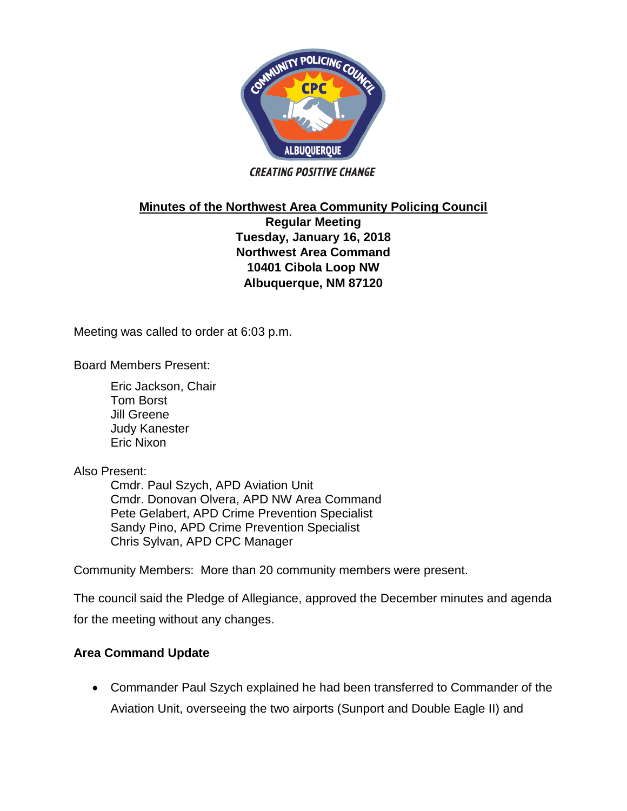

**CREATING POSITIVE CHANGE** 

**Minutes of the Northwest Area Community Policing Council**

**Regular Meeting Tuesday, January 16, 2018 Northwest Area Command 10401 Cibola Loop NW Albuquerque, NM 87120**

Meeting was called to order at 6:03 p.m.

Board Members Present:

Eric Jackson, Chair Tom Borst Jill Greene Judy Kanester Eric Nixon

Also Present:

Cmdr. Paul Szych, APD Aviation Unit Cmdr. Donovan Olvera, APD NW Area Command Pete Gelabert, APD Crime Prevention Specialist Sandy Pino, APD Crime Prevention Specialist Chris Sylvan, APD CPC Manager

Community Members: More than 20 community members were present.

The council said the Pledge of Allegiance, approved the December minutes and agenda for the meeting without any changes.

## **Area Command Update**

 Commander Paul Szych explained he had been transferred to Commander of the Aviation Unit, overseeing the two airports (Sunport and Double Eagle II) and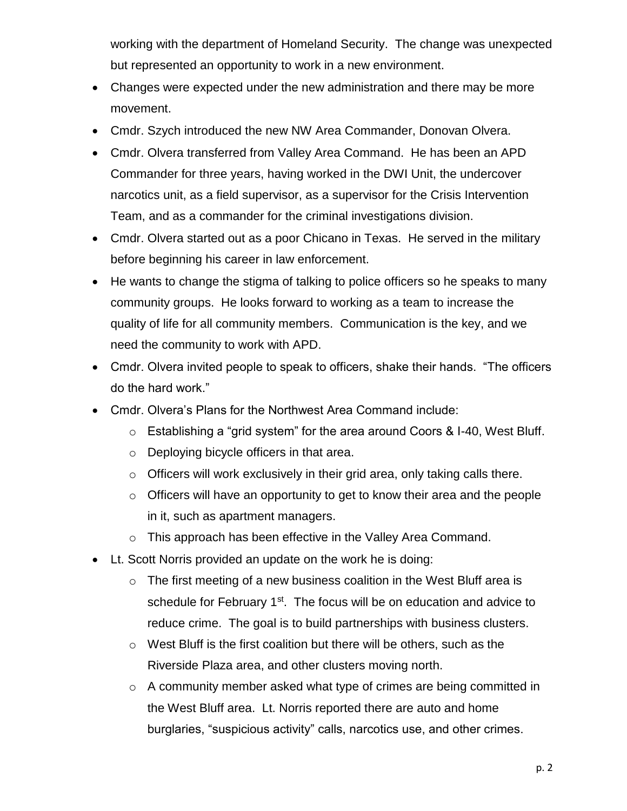working with the department of Homeland Security. The change was unexpected but represented an opportunity to work in a new environment.

- Changes were expected under the new administration and there may be more movement.
- Cmdr. Szych introduced the new NW Area Commander, Donovan Olvera.
- Cmdr. Olvera transferred from Valley Area Command. He has been an APD Commander for three years, having worked in the DWI Unit, the undercover narcotics unit, as a field supervisor, as a supervisor for the Crisis Intervention Team, and as a commander for the criminal investigations division.
- Cmdr. Olvera started out as a poor Chicano in Texas. He served in the military before beginning his career in law enforcement.
- He wants to change the stigma of talking to police officers so he speaks to many community groups. He looks forward to working as a team to increase the quality of life for all community members. Communication is the key, and we need the community to work with APD.
- Cmdr. Olvera invited people to speak to officers, shake their hands. "The officers do the hard work."
- Cmdr. Olvera's Plans for the Northwest Area Command include:
	- o Establishing a "grid system" for the area around Coors & I-40, West Bluff.
	- o Deploying bicycle officers in that area.
	- $\circ$  Officers will work exclusively in their grid area, only taking calls there.
	- o Officers will have an opportunity to get to know their area and the people in it, such as apartment managers.
	- o This approach has been effective in the Valley Area Command.
- Lt. Scott Norris provided an update on the work he is doing:
	- $\circ$  The first meeting of a new business coalition in the West Bluff area is schedule for February  $1<sup>st</sup>$ . The focus will be on education and advice to reduce crime. The goal is to build partnerships with business clusters.
	- o West Bluff is the first coalition but there will be others, such as the Riverside Plaza area, and other clusters moving north.
	- o A community member asked what type of crimes are being committed in the West Bluff area. Lt. Norris reported there are auto and home burglaries, "suspicious activity" calls, narcotics use, and other crimes.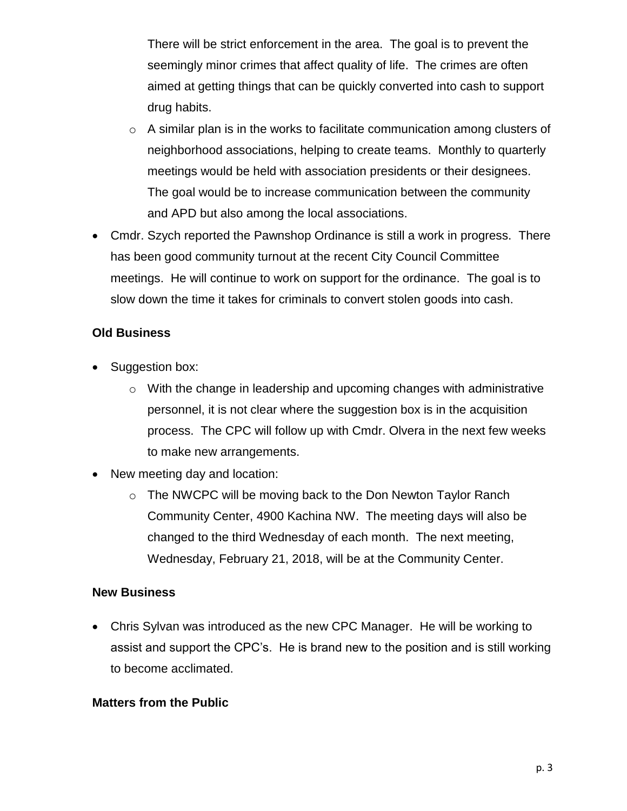There will be strict enforcement in the area. The goal is to prevent the seemingly minor crimes that affect quality of life. The crimes are often aimed at getting things that can be quickly converted into cash to support drug habits.

- $\circ$  A similar plan is in the works to facilitate communication among clusters of neighborhood associations, helping to create teams. Monthly to quarterly meetings would be held with association presidents or their designees. The goal would be to increase communication between the community and APD but also among the local associations.
- Cmdr. Szych reported the Pawnshop Ordinance is still a work in progress. There has been good community turnout at the recent City Council Committee meetings. He will continue to work on support for the ordinance. The goal is to slow down the time it takes for criminals to convert stolen goods into cash.

# **Old Business**

- Suggestion box:
	- o With the change in leadership and upcoming changes with administrative personnel, it is not clear where the suggestion box is in the acquisition process. The CPC will follow up with Cmdr. Olvera in the next few weeks to make new arrangements.
- New meeting day and location:
	- $\circ$  The NWCPC will be moving back to the Don Newton Taylor Ranch Community Center, 4900 Kachina NW. The meeting days will also be changed to the third Wednesday of each month. The next meeting, Wednesday, February 21, 2018, will be at the Community Center.

### **New Business**

 Chris Sylvan was introduced as the new CPC Manager. He will be working to assist and support the CPC's. He is brand new to the position and is still working to become acclimated.

### **Matters from the Public**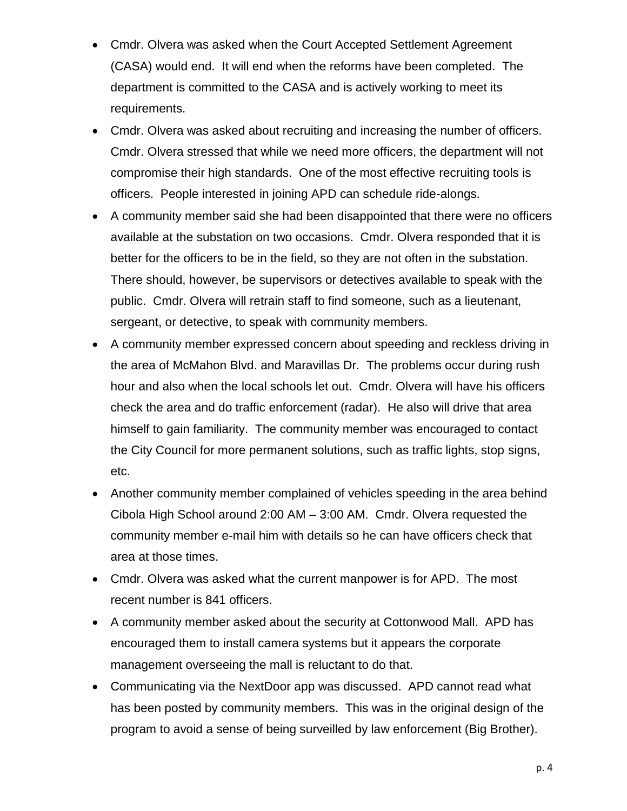- Cmdr. Olvera was asked when the Court Accepted Settlement Agreement (CASA) would end. It will end when the reforms have been completed. The department is committed to the CASA and is actively working to meet its requirements.
- Cmdr. Olvera was asked about recruiting and increasing the number of officers. Cmdr. Olvera stressed that while we need more officers, the department will not compromise their high standards. One of the most effective recruiting tools is officers. People interested in joining APD can schedule ride-alongs.
- A community member said she had been disappointed that there were no officers available at the substation on two occasions. Cmdr. Olvera responded that it is better for the officers to be in the field, so they are not often in the substation. There should, however, be supervisors or detectives available to speak with the public. Cmdr. Olvera will retrain staff to find someone, such as a lieutenant, sergeant, or detective, to speak with community members.
- A community member expressed concern about speeding and reckless driving in the area of McMahon Blvd. and Maravillas Dr. The problems occur during rush hour and also when the local schools let out. Cmdr. Olvera will have his officers check the area and do traffic enforcement (radar). He also will drive that area himself to gain familiarity. The community member was encouraged to contact the City Council for more permanent solutions, such as traffic lights, stop signs, etc.
- Another community member complained of vehicles speeding in the area behind Cibola High School around 2:00 AM – 3:00 AM. Cmdr. Olvera requested the community member e-mail him with details so he can have officers check that area at those times.
- Cmdr. Olvera was asked what the current manpower is for APD. The most recent number is 841 officers.
- A community member asked about the security at Cottonwood Mall. APD has encouraged them to install camera systems but it appears the corporate management overseeing the mall is reluctant to do that.
- Communicating via the NextDoor app was discussed. APD cannot read what has been posted by community members. This was in the original design of the program to avoid a sense of being surveilled by law enforcement (Big Brother).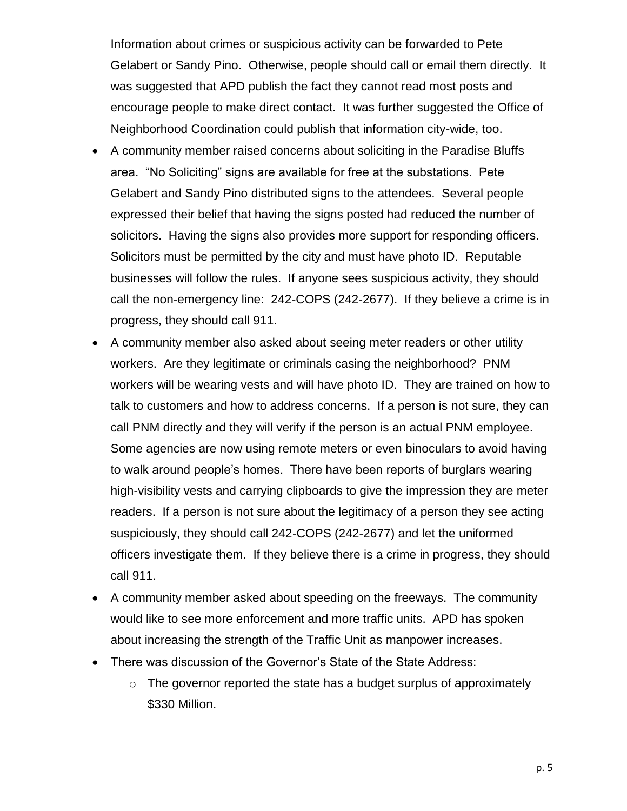Information about crimes or suspicious activity can be forwarded to Pete Gelabert or Sandy Pino. Otherwise, people should call or email them directly. It was suggested that APD publish the fact they cannot read most posts and encourage people to make direct contact. It was further suggested the Office of Neighborhood Coordination could publish that information city-wide, too.

- A community member raised concerns about soliciting in the Paradise Bluffs area. "No Soliciting" signs are available for free at the substations. Pete Gelabert and Sandy Pino distributed signs to the attendees. Several people expressed their belief that having the signs posted had reduced the number of solicitors. Having the signs also provides more support for responding officers. Solicitors must be permitted by the city and must have photo ID. Reputable businesses will follow the rules. If anyone sees suspicious activity, they should call the non-emergency line: 242-COPS (242-2677). If they believe a crime is in progress, they should call 911.
- A community member also asked about seeing meter readers or other utility workers. Are they legitimate or criminals casing the neighborhood? PNM workers will be wearing vests and will have photo ID. They are trained on how to talk to customers and how to address concerns. If a person is not sure, they can call PNM directly and they will verify if the person is an actual PNM employee. Some agencies are now using remote meters or even binoculars to avoid having to walk around people's homes. There have been reports of burglars wearing high-visibility vests and carrying clipboards to give the impression they are meter readers. If a person is not sure about the legitimacy of a person they see acting suspiciously, they should call 242-COPS (242-2677) and let the uniformed officers investigate them. If they believe there is a crime in progress, they should call 911.
- A community member asked about speeding on the freeways. The community would like to see more enforcement and more traffic units. APD has spoken about increasing the strength of the Traffic Unit as manpower increases.
- There was discussion of the Governor's State of the State Address:
	- $\circ$  The governor reported the state has a budget surplus of approximately \$330 Million.